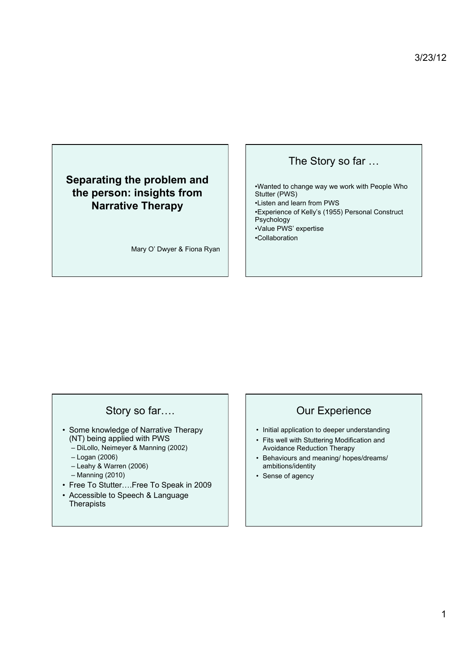## **Separating the problem and the person: insights from Narrative Therapy**

Mary O' Dwyer & Fiona Ryan

#### The Story so far …

•Wanted to change way we work with People Who Stutter (PWS) •Listen and learn from PWS •Experience of Kelly's (1955) Personal Construct Psychology •Value PWS' expertise •Collaboration

## Story so far….

- Some knowledge of Narrative Therapy (NT) being applied with PWS
	- DiLollo, Neimeyer & Manning (2002)
	- Logan (2006)
	- Leahy & Warren (2006)
	- Manning (2010)
- Free To Stutter….Free To Speak in 2009
- Accessible to Speech & Language **Therapists**

#### Our Experience

- Initial application to deeper understanding
- Fits well with Stuttering Modification and Avoidance Reduction Therapy
- Behaviours and meaning/ hopes/dreams/ ambitions/identity
- Sense of agency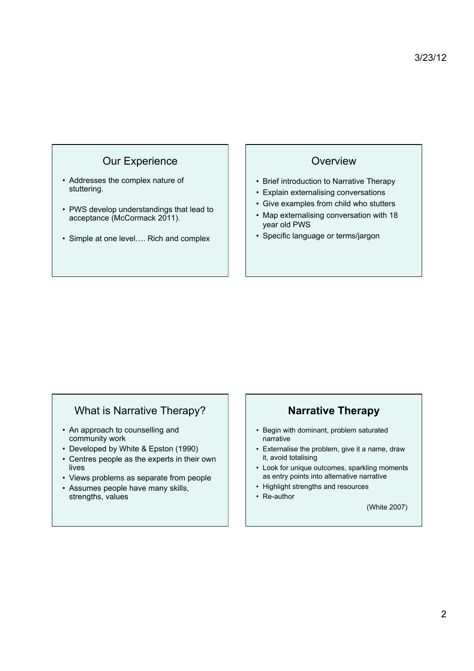## Our Experience

- Addresses the complex nature of stuttering.
- PWS develop understandings that lead to acceptance (McCormack 2011).
- Simple at one level…. Rich and complex

#### **Overview**

- Brief introduction to Narrative Therapy
- Explain externalising conversations
- Give examples from child who stutters
- Map externalising conversation with 18 year old PWS
- Specific language or terms/jargon

## What is Narrative Therapy?

- An approach to counselling and community work
- Developed by White & Epston (1990)
- Centres people as the experts in their own lives
- Views problems as separate from people
- Assumes people have many skills, strengths, values

#### **Narrative Therapy**

- Begin with dominant, problem saturated narrative
- Externalise the problem, give it a name, draw it, avoid totalising
- Look for unique outcomes, sparkling moments as entry points into alternative narrative
- Highlight strengths and resources
- Re-author

(White 2007)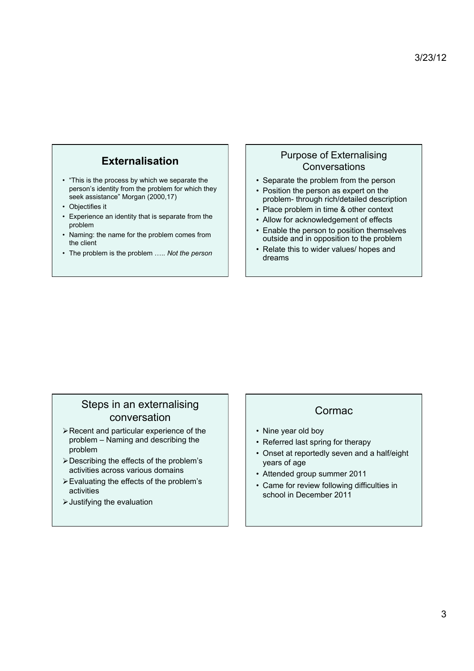## **Externalisation**

- "This is the process by which we separate the person's identity from the problem for which they seek assistance" Morgan (2000,17)
- Objectifies it
- Experience an identity that is separate from the problem
- Naming: the name for the problem comes from the client
- The problem is the problem ….. *Not the person*

#### Purpose of Externalising **Conversations**

- Separate the problem from the person
- Position the person as expert on the problem- through rich/detailed description
- Place problem in time & other context
- Allow for acknowledgement of effects
- Enable the person to position themselves outside and in opposition to the problem
- Relate this to wider values/ hopes and dreams

#### Steps in an externalising conversation

- Recent and particular experience of the problem – Naming and describing the problem
- Describing the effects of the problem's activities across various domains
- Evaluating the effects of the problem's activities
- Justifying the evaluation

#### Cormac

- Nine year old boy
- Referred last spring for therapy
- Onset at reportedly seven and a half/eight years of age
- Attended group summer 2011
- Came for review following difficulties in school in December 2011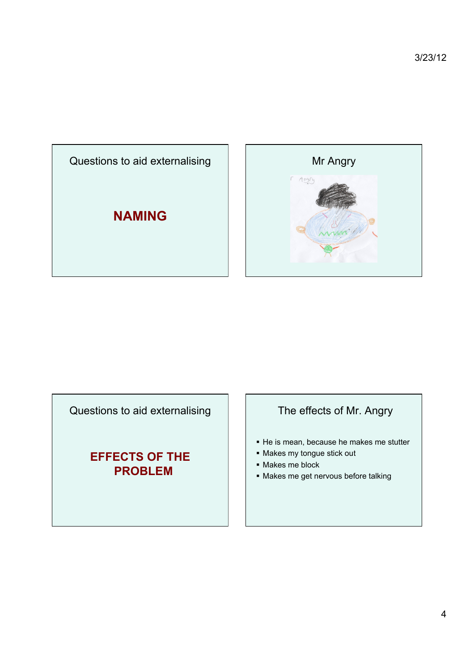



Questions to aid externalising

# **EFFECTS OF THE PROBLEM**

## The effects of Mr. Angry

- He is mean, because he makes me stutter
- Makes my tongue stick out
- Makes me block
- Makes me get nervous before talking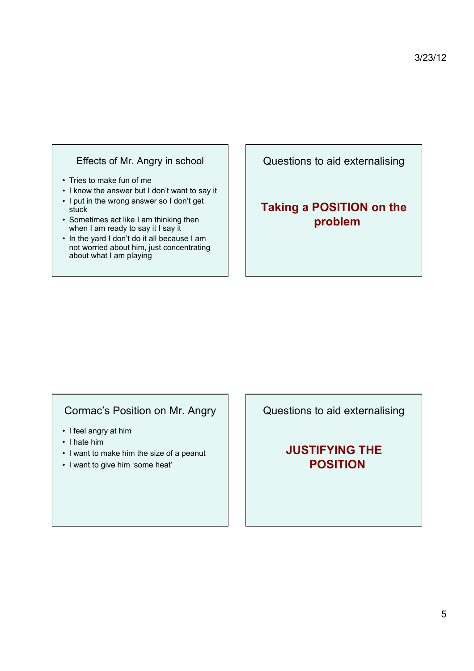#### Effects of Mr. Angry in school

- Tries to make fun of me
- I know the answer but I don't want to say it
- I put in the wrong answer so I don't get stuck
- Sometimes act like I am thinking then when I am ready to say it I say it
- In the yard I don't do it all because I am not worried about him, just concentrating about what I am playing

Questions to aid externalising

# **Taking a POSITION on the problem**

## Cormac's Position on Mr. Angry

- I feel angry at him
- I hate him
- I want to make him the size of a peanut
- I want to give him 'some heat'

Questions to aid externalising

**JUSTIFYING THE POSITION**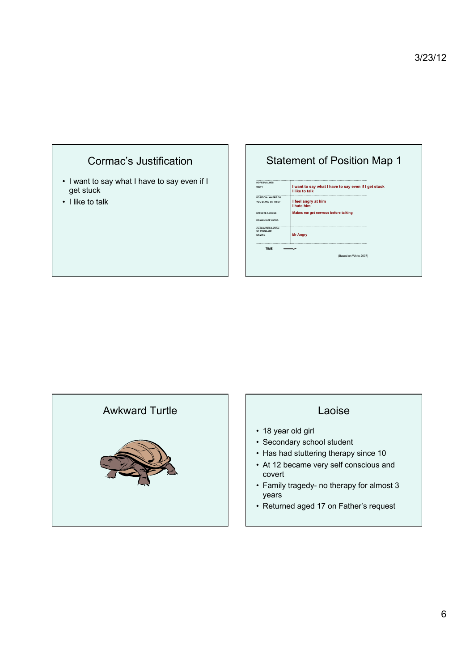

• I like to talk

## Statement of Position Map 1

**…………………………………………………………………………………………………………………………………… HOPES/VALUES I want to say what I have to say even if I get stuck<br>I like to talk and <b>I** like to talk **…………………………………………………………………………………………………………………………………… POSITION - WHERE DO YOU STAND ON THIS? I feel angry at him I hate him …………………………………………………………………………………………………………………………………… EFFECTS ACROSS Makes me get nervous before talking DOMAINS OF LIVING …………………………………………………………………………………………………………………………………… CHARACTERISATION OF PROBLEM/ Mr Angry …………………………………………………………………………………………………………………………………… TIME** (Based on White 2007)

## Awkward Turtle **Laoise**



- 18 year old girl
- Secondary school student
- Has had stuttering therapy since 10
- At 12 became very self conscious and covert
- Family tragedy- no therapy for almost 3 years
- Returned aged 17 on Father's request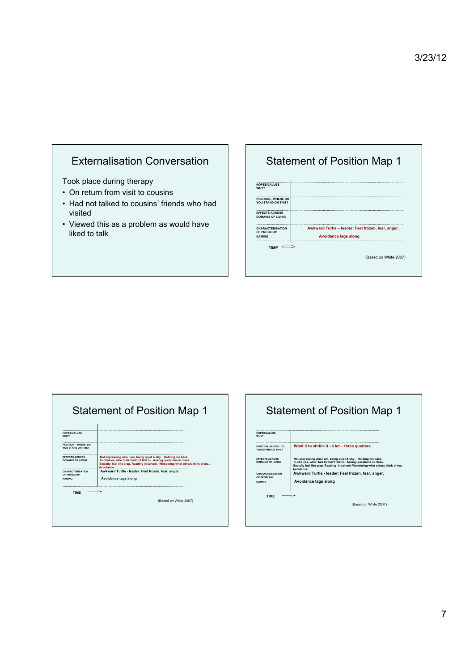## Externalisation Conversation

Took place during therapy

- On return from visit to cousins
- Had not talked to cousins' friends who had visited
- Viewed this as a problem as would have liked to talk

# Statement of Position Map 1

| <b>HOPES/VALUES</b><br>WHY?                             |                                                                                   |
|---------------------------------------------------------|-----------------------------------------------------------------------------------|
| POSITION - WHERE DO<br>YOU STAND ON THIS?               |                                                                                   |
| <b>EFFECTS ACROSS</b><br><b>DOMAINS OF LIVING</b>       |                                                                                   |
| <b>CHARACTERISATION</b><br>OF PROBLEM/<br><b>NAMING</b> | Awkward Turtle - leader: Feel frozen, fear, anger.<br><b>Avoidance tags along</b> |
| <b>TIME</b>                                             |                                                                                   |
|                                                         | (Based on White 2007)                                                             |

| <b>HOPES/VALUES</b><br>WHY?                            |                                                                                                                                                                                                                       |
|--------------------------------------------------------|-----------------------------------------------------------------------------------------------------------------------------------------------------------------------------------------------------------------------|
| POSITION - WHERE DO<br>YOU STAND ON THIS?              |                                                                                                                                                                                                                       |
| <br><b>FFFFCTS ACROSS</b><br>DOMAINS OF LIVING         | Not expressing who I am, being quiet & shy, Holding me back.<br>In choices, who I talk to/don't talk to. Asking questions in class.<br>Socially, feel like crap. Reading in school. Wondering what others think of me |
| <b>CHARACTERISATION</b><br>OF PROBLEM<br><b>NAMING</b> | Awkward Turtle - leader: Feel frozen, fear, anger.<br>Avoidance tags along                                                                                                                                            |
|                                                        |                                                                                                                                                                                                                       |
| <b>TIME</b>                                            |                                                                                                                                                                                                                       |

# Statement of Position Map 1

| <b>HOPES/VALUES</b><br>WHY?                             |                                                                                                                                                                                                                                   |
|---------------------------------------------------------|-----------------------------------------------------------------------------------------------------------------------------------------------------------------------------------------------------------------------------------|
| POSITION - WHERE DO<br>YOU STAND ON THIS?               | Want it to shrink it - a lot - three quarters.                                                                                                                                                                                    |
| <b>FFFECTS ACROSS</b><br>DOMAINS OF LIVING              | Not expressing who I am, being quiet & shy. Holding me back.<br>In choices, who I talk to/don't talk to. Asking questions in class.<br>Socially feel like crap. Reading in school. Wondering what others think of me<br>Avoidance |
| <b>CHARACTERISATION</b><br>OF PROBLEM!<br><b>NAMING</b> | Awkward Turtle - leader: Feel frozen, fear, anger.<br>Avoidance tags along                                                                                                                                                        |
| <b>TIME</b>                                             |                                                                                                                                                                                                                                   |
|                                                         | (Based on White 2007)                                                                                                                                                                                                             |